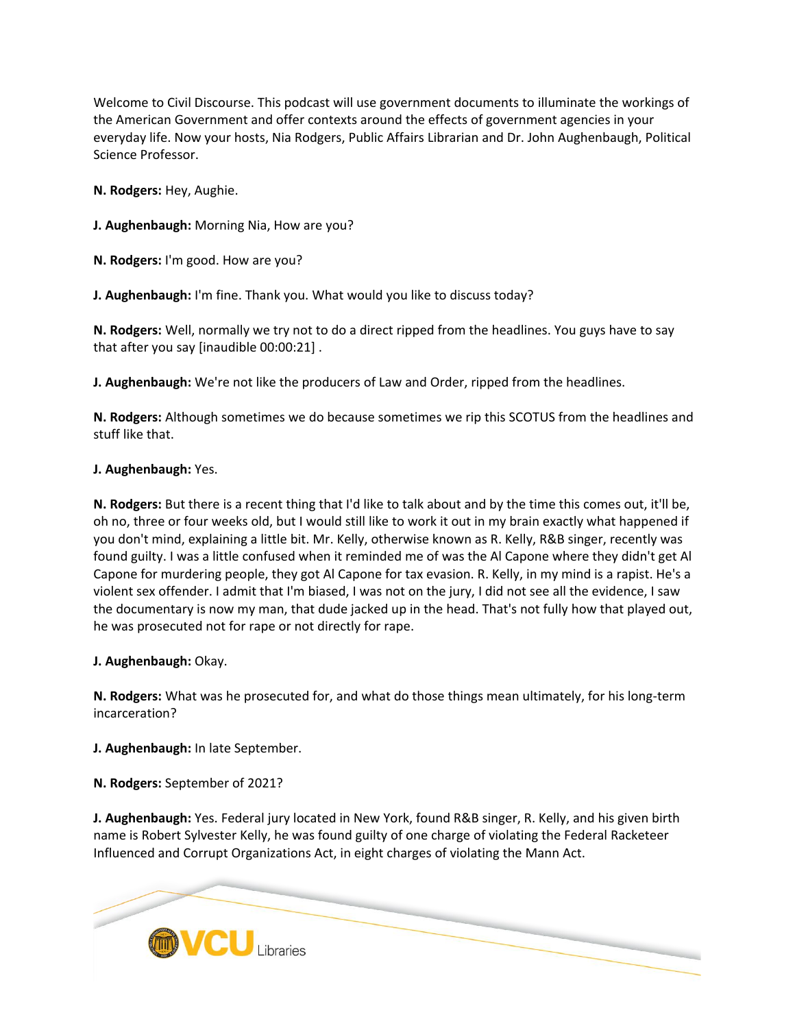Welcome to Civil Discourse. This podcast will use government documents to illuminate the workings of the American Government and offer contexts around the effects of government agencies in your everyday life. Now your hosts, Nia Rodgers, Public Affairs Librarian and Dr. John Aughenbaugh, Political Science Professor.

**N. Rodgers:** Hey, Aughie.

**J. Aughenbaugh:** Morning Nia, How are you?

**N. Rodgers:** I'm good. How are you?

**J. Aughenbaugh:** I'm fine. Thank you. What would you like to discuss today?

**N. Rodgers:** Well, normally we try not to do a direct ripped from the headlines. You guys have to say that after you say [inaudible 00:00:21] .

**J. Aughenbaugh:** We're not like the producers of Law and Order, ripped from the headlines.

**N. Rodgers:** Although sometimes we do because sometimes we rip this SCOTUS from the headlines and stuff like that.

### **J. Aughenbaugh:** Yes.

**N. Rodgers:** But there is a recent thing that I'd like to talk about and by the time this comes out, it'll be, oh no, three or four weeks old, but I would still like to work it out in my brain exactly what happened if you don't mind, explaining a little bit. Mr. Kelly, otherwise known as R. Kelly, R&B singer, recently was found guilty. I was a little confused when it reminded me of was the Al Capone where they didn't get Al Capone for murdering people, they got Al Capone for tax evasion. R. Kelly, in my mind is a rapist. He's a violent sex offender. I admit that I'm biased, I was not on the jury, I did not see all the evidence, I saw the documentary is now my man, that dude jacked up in the head. That's not fully how that played out, he was prosecuted not for rape or not directly for rape.

### **J. Aughenbaugh:** Okay.

**N. Rodgers:** What was he prosecuted for, and what do those things mean ultimately, for his long-term incarceration?

**J. Aughenbaugh:** In late September.

**N. Rodgers:** September of 2021?

**J. Aughenbaugh:** Yes. Federal jury located in New York, found R&B singer, R. Kelly, and his given birth name is Robert Sylvester Kelly, he was found guilty of one charge of violating the Federal Racketeer Influenced and Corrupt Organizations Act, in eight charges of violating the Mann Act.

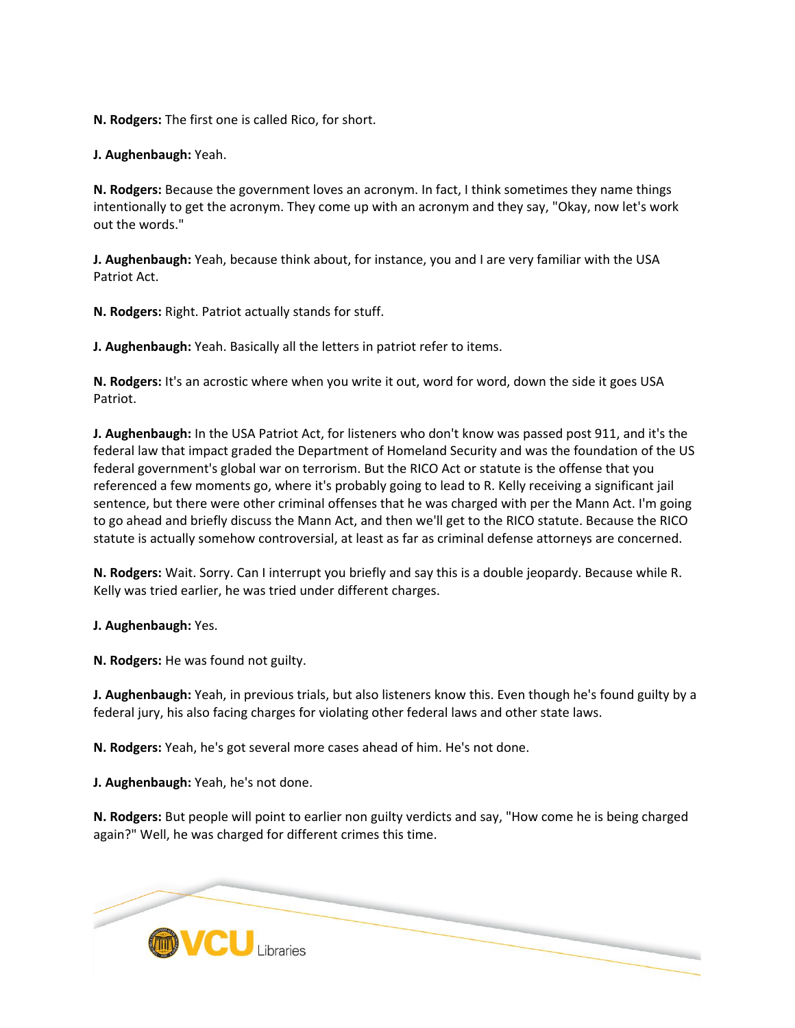**N. Rodgers:** The first one is called Rico, for short.

**J. Aughenbaugh:** Yeah.

**N. Rodgers:** Because the government loves an acronym. In fact, I think sometimes they name things intentionally to get the acronym. They come up with an acronym and they say, "Okay, now let's work out the words."

**J. Aughenbaugh:** Yeah, because think about, for instance, you and I are very familiar with the USA Patriot Act.

**N. Rodgers:** Right. Patriot actually stands for stuff.

**J. Aughenbaugh:** Yeah. Basically all the letters in patriot refer to items.

**N. Rodgers:** It's an acrostic where when you write it out, word for word, down the side it goes USA Patriot.

**J. Aughenbaugh:** In the USA Patriot Act, for listeners who don't know was passed post 911, and it's the federal law that impact graded the Department of Homeland Security and was the foundation of the US federal government's global war on terrorism. But the RICO Act or statute is the offense that you referenced a few moments go, where it's probably going to lead to R. Kelly receiving a significant jail sentence, but there were other criminal offenses that he was charged with per the Mann Act. I'm going to go ahead and briefly discuss the Mann Act, and then we'll get to the RICO statute. Because the RICO statute is actually somehow controversial, at least as far as criminal defense attorneys are concerned.

**N. Rodgers:** Wait. Sorry. Can I interrupt you briefly and say this is a double jeopardy. Because while R. Kelly was tried earlier, he was tried under different charges.

**J. Aughenbaugh:** Yes.

**N. Rodgers:** He was found not guilty.

**J. Aughenbaugh:** Yeah, in previous trials, but also listeners know this. Even though he's found guilty by a federal jury, his also facing charges for violating other federal laws and other state laws.

**N. Rodgers:** Yeah, he's got several more cases ahead of him. He's not done.

**J. Aughenbaugh:** Yeah, he's not done.

**N. Rodgers:** But people will point to earlier non guilty verdicts and say, "How come he is being charged again?" Well, he was charged for different crimes this time.

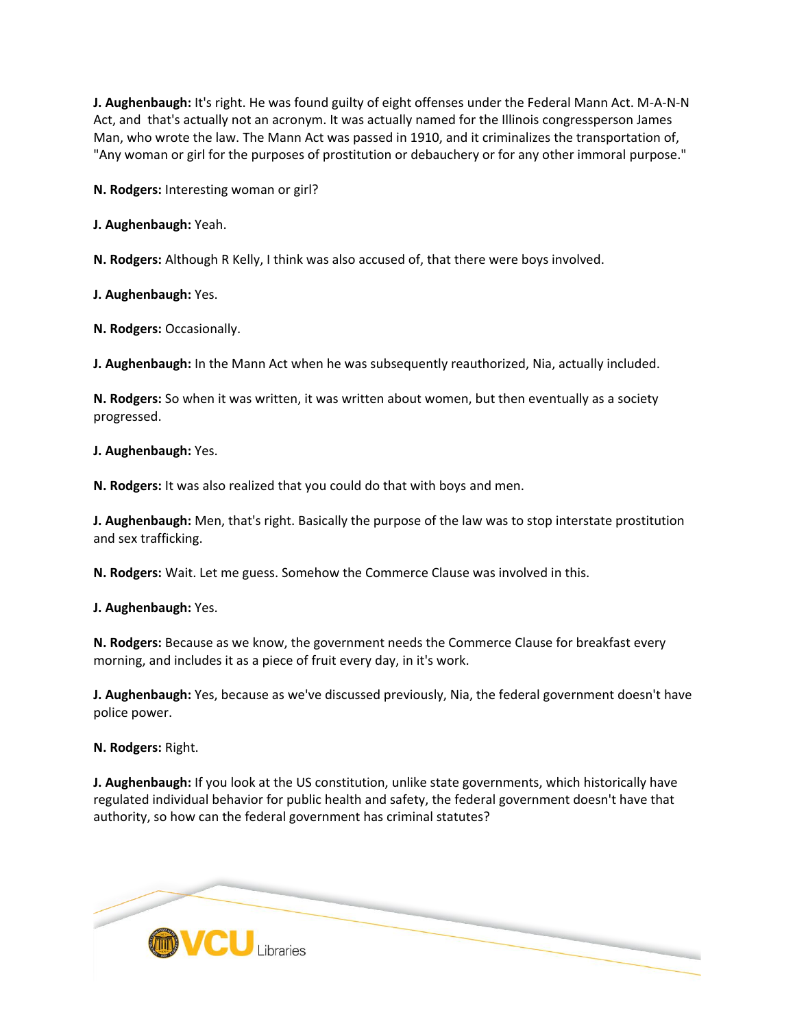**J. Aughenbaugh:** It's right. He was found guilty of eight offenses under the Federal Mann Act. M-A-N-N Act, and that's actually not an acronym. It was actually named for the Illinois congressperson James Man, who wrote the law. The Mann Act was passed in 1910, and it criminalizes the transportation of, "Any woman or girl for the purposes of prostitution or debauchery or for any other immoral purpose."

**N. Rodgers:** Interesting woman or girl?

**J. Aughenbaugh:** Yeah.

**N. Rodgers:** Although R Kelly, I think was also accused of, that there were boys involved.

**J. Aughenbaugh:** Yes.

**N. Rodgers:** Occasionally.

**J. Aughenbaugh:** In the Mann Act when he was subsequently reauthorized, Nia, actually included.

**N. Rodgers:** So when it was written, it was written about women, but then eventually as a society progressed.

**J. Aughenbaugh:** Yes.

**N. Rodgers:** It was also realized that you could do that with boys and men.

**J. Aughenbaugh:** Men, that's right. Basically the purpose of the law was to stop interstate prostitution and sex trafficking.

**N. Rodgers:** Wait. Let me guess. Somehow the Commerce Clause was involved in this.

**J. Aughenbaugh:** Yes.

**N. Rodgers:** Because as we know, the government needs the Commerce Clause for breakfast every morning, and includes it as a piece of fruit every day, in it's work.

**J. Aughenbaugh:** Yes, because as we've discussed previously, Nia, the federal government doesn't have police power.

**N. Rodgers:** Right.

**J. Aughenbaugh:** If you look at the US constitution, unlike state governments, which historically have regulated individual behavior for public health and safety, the federal government doesn't have that authority, so how can the federal government has criminal statutes?

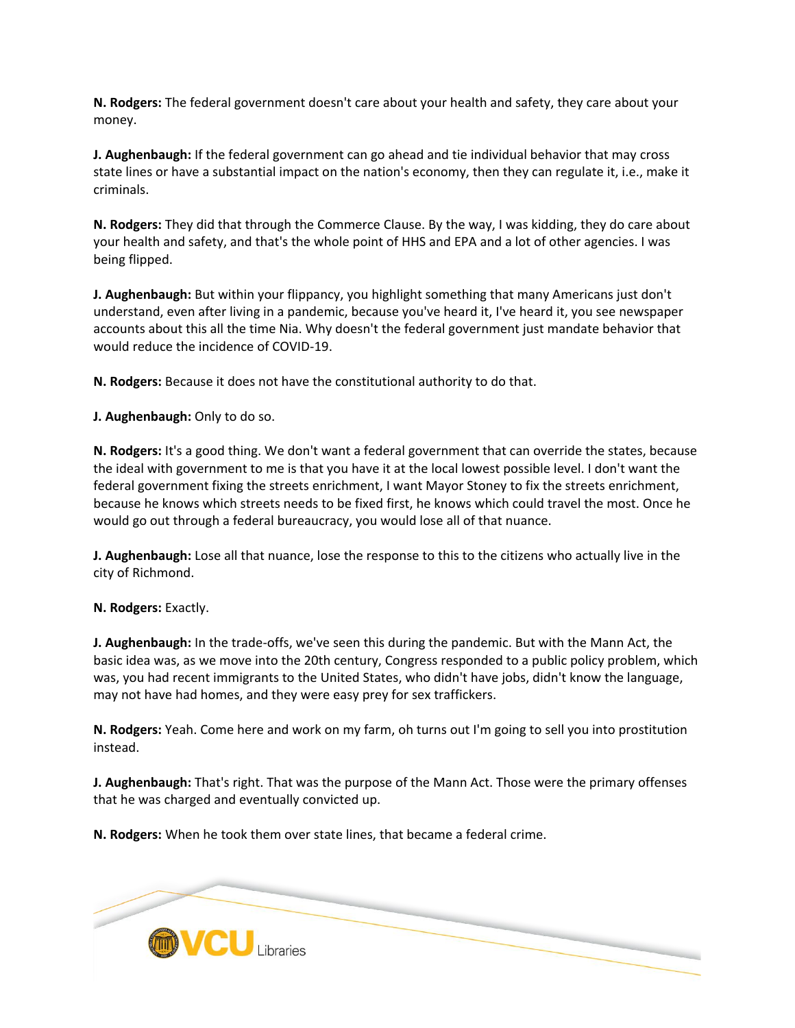**N. Rodgers:** The federal government doesn't care about your health and safety, they care about your money.

**J. Aughenbaugh:** If the federal government can go ahead and tie individual behavior that may cross state lines or have a substantial impact on the nation's economy, then they can regulate it, i.e., make it criminals.

**N. Rodgers:** They did that through the Commerce Clause. By the way, I was kidding, they do care about your health and safety, and that's the whole point of HHS and EPA and a lot of other agencies. I was being flipped.

**J. Aughenbaugh:** But within your flippancy, you highlight something that many Americans just don't understand, even after living in a pandemic, because you've heard it, I've heard it, you see newspaper accounts about this all the time Nia. Why doesn't the federal government just mandate behavior that would reduce the incidence of COVID-19.

**N. Rodgers:** Because it does not have the constitutional authority to do that.

**J. Aughenbaugh:** Only to do so.

**N. Rodgers:** It's a good thing. We don't want a federal government that can override the states, because the ideal with government to me is that you have it at the local lowest possible level. I don't want the federal government fixing the streets enrichment, I want Mayor Stoney to fix the streets enrichment, because he knows which streets needs to be fixed first, he knows which could travel the most. Once he would go out through a federal bureaucracy, you would lose all of that nuance.

**J. Aughenbaugh:** Lose all that nuance, lose the response to this to the citizens who actually live in the city of Richmond.

### **N. Rodgers:** Exactly.

**J. Aughenbaugh:** In the trade-offs, we've seen this during the pandemic. But with the Mann Act, the basic idea was, as we move into the 20th century, Congress responded to a public policy problem, which was, you had recent immigrants to the United States, who didn't have jobs, didn't know the language, may not have had homes, and they were easy prey for sex traffickers.

**N. Rodgers:** Yeah. Come here and work on my farm, oh turns out I'm going to sell you into prostitution instead.

**J. Aughenbaugh:** That's right. That was the purpose of the Mann Act. Those were the primary offenses that he was charged and eventually convicted up.

**N. Rodgers:** When he took them over state lines, that became a federal crime.

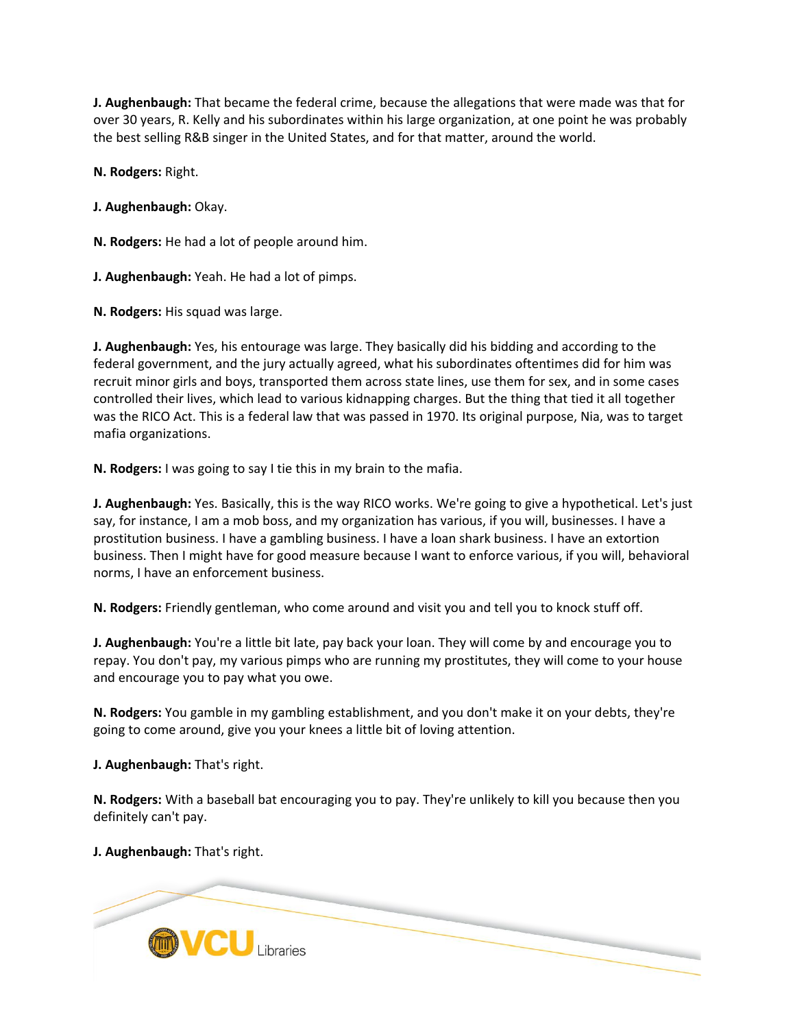**J. Aughenbaugh:** That became the federal crime, because the allegations that were made was that for over 30 years, R. Kelly and his subordinates within his large organization, at one point he was probably the best selling R&B singer in the United States, and for that matter, around the world.

**N. Rodgers:** Right.

**J. Aughenbaugh:** Okay.

**N. Rodgers:** He had a lot of people around him.

**J. Aughenbaugh:** Yeah. He had a lot of pimps.

**N. Rodgers:** His squad was large.

**J. Aughenbaugh:** Yes, his entourage was large. They basically did his bidding and according to the federal government, and the jury actually agreed, what his subordinates oftentimes did for him was recruit minor girls and boys, transported them across state lines, use them for sex, and in some cases controlled their lives, which lead to various kidnapping charges. But the thing that tied it all together was the RICO Act. This is a federal law that was passed in 1970. Its original purpose, Nia, was to target mafia organizations.

**N. Rodgers:** I was going to say I tie this in my brain to the mafia.

**J. Aughenbaugh:** Yes. Basically, this is the way RICO works. We're going to give a hypothetical. Let's just say, for instance, I am a mob boss, and my organization has various, if you will, businesses. I have a prostitution business. I have a gambling business. I have a loan shark business. I have an extortion business. Then I might have for good measure because I want to enforce various, if you will, behavioral norms, I have an enforcement business.

**N. Rodgers:** Friendly gentleman, who come around and visit you and tell you to knock stuff off.

**J. Aughenbaugh:** You're a little bit late, pay back your loan. They will come by and encourage you to repay. You don't pay, my various pimps who are running my prostitutes, they will come to your house and encourage you to pay what you owe.

**N. Rodgers:** You gamble in my gambling establishment, and you don't make it on your debts, they're going to come around, give you your knees a little bit of loving attention.

**J. Aughenbaugh:** That's right.

**N. Rodgers:** With a baseball bat encouraging you to pay. They're unlikely to kill you because then you definitely can't pay.

**J. Aughenbaugh:** That's right.

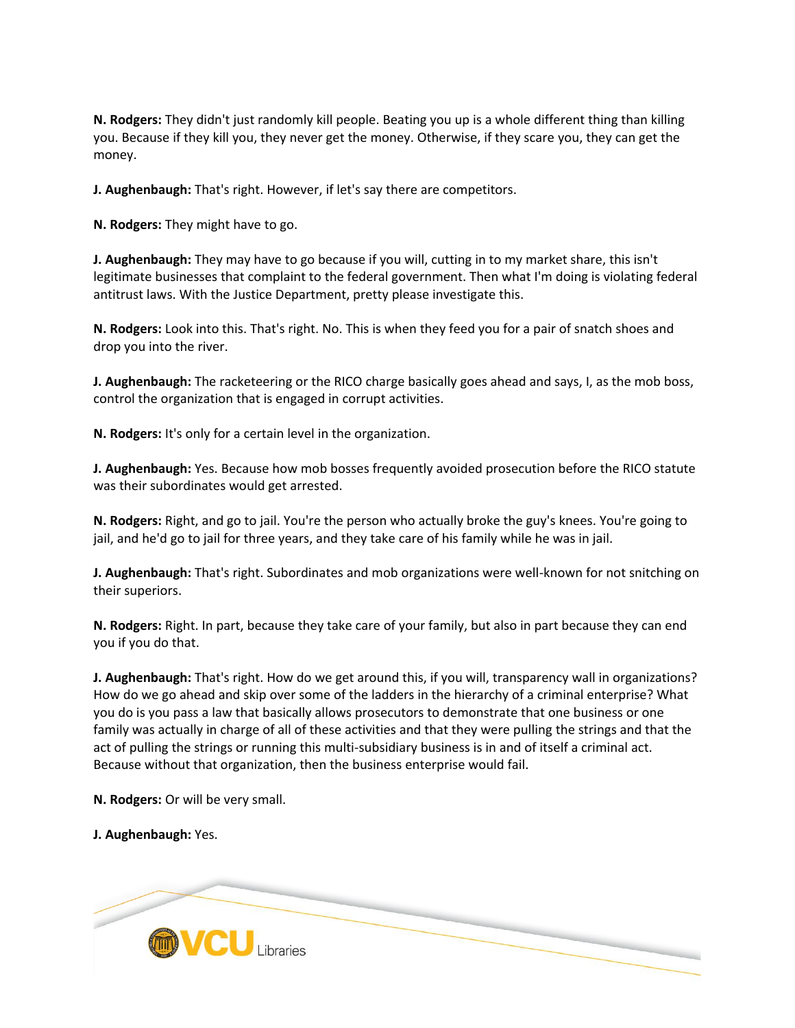**N. Rodgers:** They didn't just randomly kill people. Beating you up is a whole different thing than killing you. Because if they kill you, they never get the money. Otherwise, if they scare you, they can get the money.

**J. Aughenbaugh:** That's right. However, if let's say there are competitors.

**N. Rodgers:** They might have to go.

**J. Aughenbaugh:** They may have to go because if you will, cutting in to my market share, this isn't legitimate businesses that complaint to the federal government. Then what I'm doing is violating federal antitrust laws. With the Justice Department, pretty please investigate this.

**N. Rodgers:** Look into this. That's right. No. This is when they feed you for a pair of snatch shoes and drop you into the river.

**J. Aughenbaugh:** The racketeering or the RICO charge basically goes ahead and says, I, as the mob boss, control the organization that is engaged in corrupt activities.

**N. Rodgers:** It's only for a certain level in the organization.

**J. Aughenbaugh:** Yes. Because how mob bosses frequently avoided prosecution before the RICO statute was their subordinates would get arrested.

**N. Rodgers:** Right, and go to jail. You're the person who actually broke the guy's knees. You're going to jail, and he'd go to jail for three years, and they take care of his family while he was in jail.

**J. Aughenbaugh:** That's right. Subordinates and mob organizations were well-known for not snitching on their superiors.

**N. Rodgers:** Right. In part, because they take care of your family, but also in part because they can end you if you do that.

**J. Aughenbaugh:** That's right. How do we get around this, if you will, transparency wall in organizations? How do we go ahead and skip over some of the ladders in the hierarchy of a criminal enterprise? What you do is you pass a law that basically allows prosecutors to demonstrate that one business or one family was actually in charge of all of these activities and that they were pulling the strings and that the act of pulling the strings or running this multi-subsidiary business is in and of itself a criminal act. Because without that organization, then the business enterprise would fail.

**N. Rodgers:** Or will be very small.

**J. Aughenbaugh:** Yes.

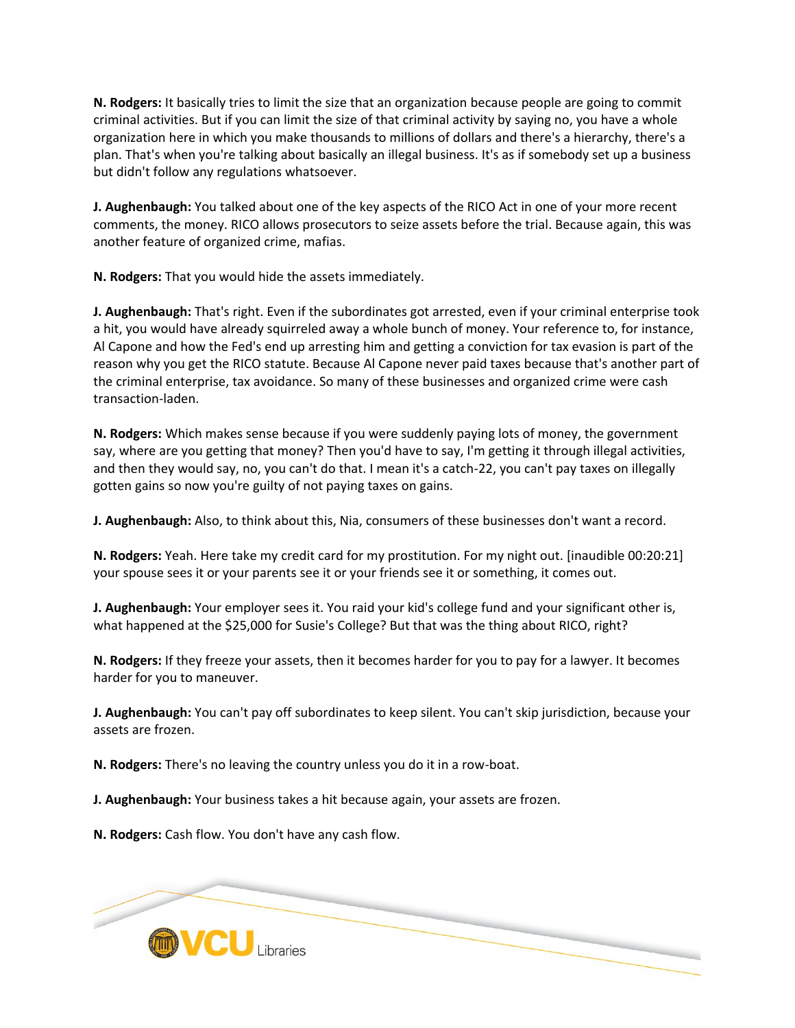**N. Rodgers:** It basically tries to limit the size that an organization because people are going to commit criminal activities. But if you can limit the size of that criminal activity by saying no, you have a whole organization here in which you make thousands to millions of dollars and there's a hierarchy, there's a plan. That's when you're talking about basically an illegal business. It's as if somebody set up a business but didn't follow any regulations whatsoever.

**J. Aughenbaugh:** You talked about one of the key aspects of the RICO Act in one of your more recent comments, the money. RICO allows prosecutors to seize assets before the trial. Because again, this was another feature of organized crime, mafias.

**N. Rodgers:** That you would hide the assets immediately.

**J. Aughenbaugh:** That's right. Even if the subordinates got arrested, even if your criminal enterprise took a hit, you would have already squirreled away a whole bunch of money. Your reference to, for instance, Al Capone and how the Fed's end up arresting him and getting a conviction for tax evasion is part of the reason why you get the RICO statute. Because Al Capone never paid taxes because that's another part of the criminal enterprise, tax avoidance. So many of these businesses and organized crime were cash transaction-laden.

**N. Rodgers:** Which makes sense because if you were suddenly paying lots of money, the government say, where are you getting that money? Then you'd have to say, I'm getting it through illegal activities, and then they would say, no, you can't do that. I mean it's a catch-22, you can't pay taxes on illegally gotten gains so now you're guilty of not paying taxes on gains.

**J. Aughenbaugh:** Also, to think about this, Nia, consumers of these businesses don't want a record.

**N. Rodgers:** Yeah. Here take my credit card for my prostitution. For my night out. [inaudible 00:20:21] your spouse sees it or your parents see it or your friends see it or something, it comes out.

**J. Aughenbaugh:** Your employer sees it. You raid your kid's college fund and your significant other is, what happened at the \$25,000 for Susie's College? But that was the thing about RICO, right?

**N. Rodgers:** If they freeze your assets, then it becomes harder for you to pay for a lawyer. It becomes harder for you to maneuver.

**J. Aughenbaugh:** You can't pay off subordinates to keep silent. You can't skip jurisdiction, because your assets are frozen.

**N. Rodgers:** There's no leaving the country unless you do it in a row-boat.

**J. Aughenbaugh:** Your business takes a hit because again, your assets are frozen.

**N. Rodgers:** Cash flow. You don't have any cash flow.

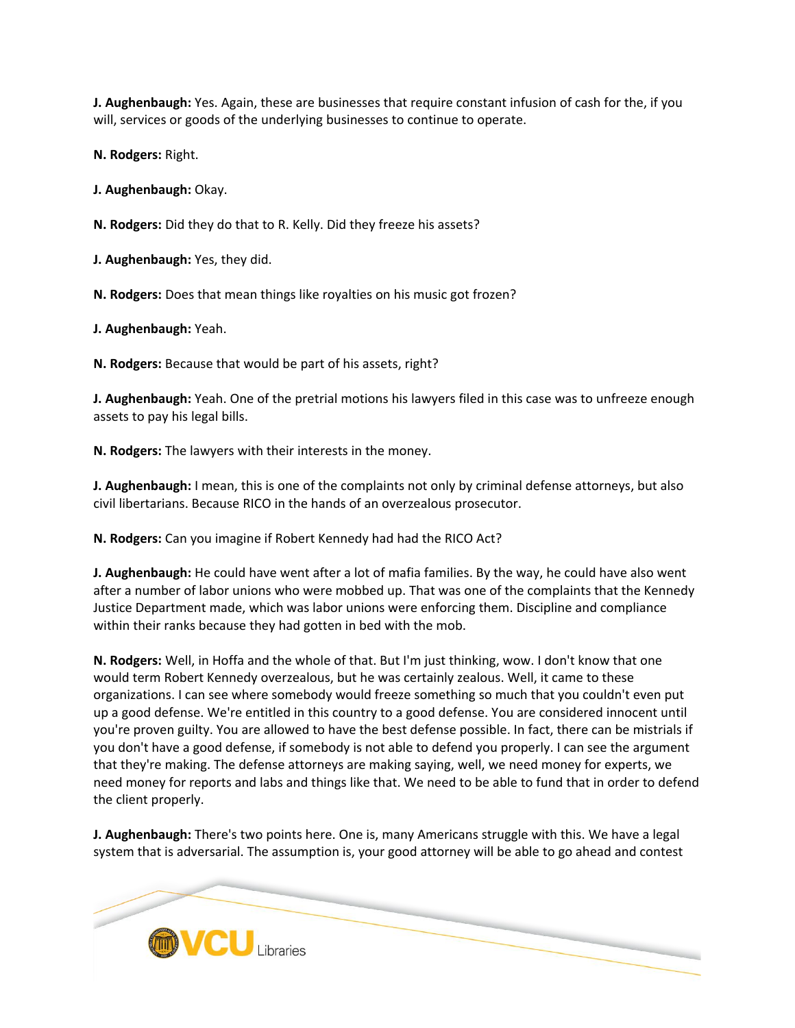**J. Aughenbaugh:** Yes. Again, these are businesses that require constant infusion of cash for the, if you will, services or goods of the underlying businesses to continue to operate.

**N. Rodgers:** Right.

**J. Aughenbaugh:** Okay.

**N. Rodgers:** Did they do that to R. Kelly. Did they freeze his assets?

**J. Aughenbaugh:** Yes, they did.

**N. Rodgers:** Does that mean things like royalties on his music got frozen?

**J. Aughenbaugh:** Yeah.

**N. Rodgers:** Because that would be part of his assets, right?

**J. Aughenbaugh:** Yeah. One of the pretrial motions his lawyers filed in this case was to unfreeze enough assets to pay his legal bills.

**N. Rodgers:** The lawyers with their interests in the money.

**J. Aughenbaugh:** I mean, this is one of the complaints not only by criminal defense attorneys, but also civil libertarians. Because RICO in the hands of an overzealous prosecutor.

**N. Rodgers:** Can you imagine if Robert Kennedy had had the RICO Act?

**J. Aughenbaugh:** He could have went after a lot of mafia families. By the way, he could have also went after a number of labor unions who were mobbed up. That was one of the complaints that the Kennedy Justice Department made, which was labor unions were enforcing them. Discipline and compliance within their ranks because they had gotten in bed with the mob.

**N. Rodgers:** Well, in Hoffa and the whole of that. But I'm just thinking, wow. I don't know that one would term Robert Kennedy overzealous, but he was certainly zealous. Well, it came to these organizations. I can see where somebody would freeze something so much that you couldn't even put up a good defense. We're entitled in this country to a good defense. You are considered innocent until you're proven guilty. You are allowed to have the best defense possible. In fact, there can be mistrials if you don't have a good defense, if somebody is not able to defend you properly. I can see the argument that they're making. The defense attorneys are making saying, well, we need money for experts, we need money for reports and labs and things like that. We need to be able to fund that in order to defend the client properly.

**J. Aughenbaugh:** There's two points here. One is, many Americans struggle with this. We have a legal system that is adversarial. The assumption is, your good attorney will be able to go ahead and contest

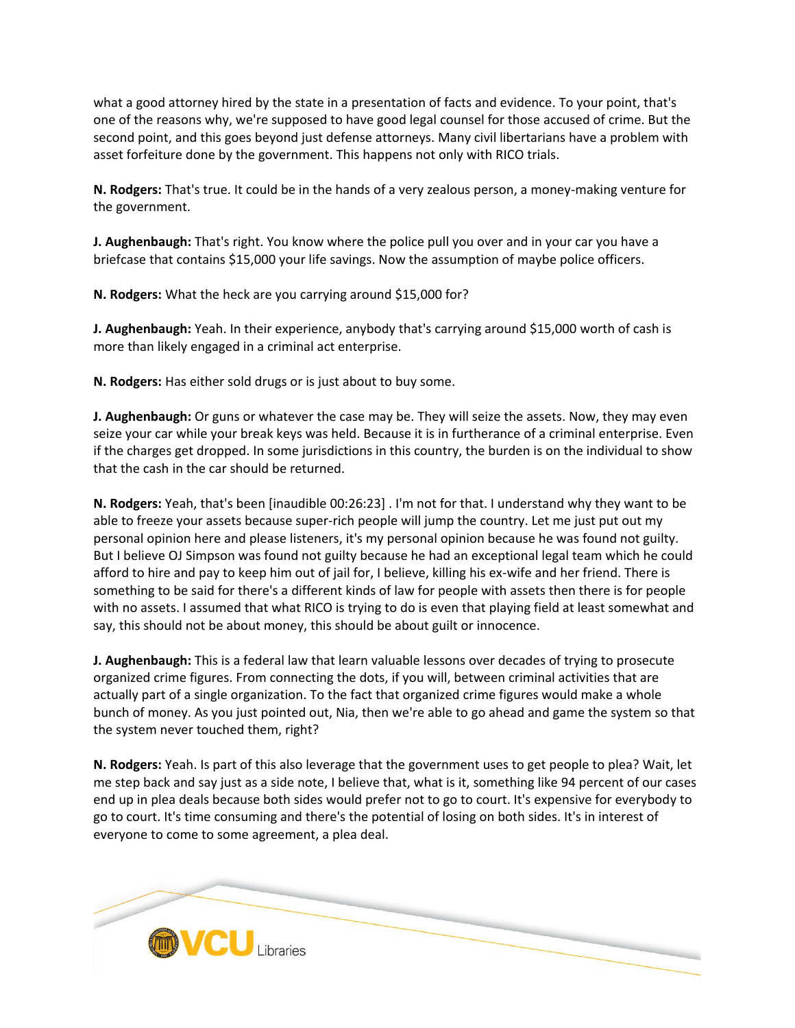what a good attorney hired by the state in a presentation of facts and evidence. To your point, that's one of the reasons why, we're supposed to have good legal counsel for those accused of crime. But the second point, and this goes beyond just defense attorneys. Many civil libertarians have a problem with asset forfeiture done by the government. This happens not only with RICO trials.

**N. Rodgers:** That's true. It could be in the hands of a very zealous person, a money-making venture for the government.

**J. Aughenbaugh:** That's right. You know where the police pull you over and in your car you have a briefcase that contains \$15,000 your life savings. Now the assumption of maybe police officers.

**N. Rodgers:** What the heck are you carrying around \$15,000 for?

**J. Aughenbaugh:** Yeah. In their experience, anybody that's carrying around \$15,000 worth of cash is more than likely engaged in a criminal act enterprise.

**N. Rodgers:** Has either sold drugs or is just about to buy some.

**J. Aughenbaugh:** Or guns or whatever the case may be. They will seize the assets. Now, they may even seize your car while your break keys was held. Because it is in furtherance of a criminal enterprise. Even if the charges get dropped. In some jurisdictions in this country, the burden is on the individual to show that the cash in the car should be returned.

**N. Rodgers:** Yeah, that's been [inaudible 00:26:23] . I'm not for that. I understand why they want to be able to freeze your assets because super-rich people will jump the country. Let me just put out my personal opinion here and please listeners, it's my personal opinion because he was found not guilty. But I believe OJ Simpson was found not guilty because he had an exceptional legal team which he could afford to hire and pay to keep him out of jail for, I believe, killing his ex-wife and her friend. There is something to be said for there's a different kinds of law for people with assets then there is for people with no assets. I assumed that what RICO is trying to do is even that playing field at least somewhat and say, this should not be about money, this should be about guilt or innocence.

**J. Aughenbaugh:** This is a federal law that learn valuable lessons over decades of trying to prosecute organized crime figures. From connecting the dots, if you will, between criminal activities that are actually part of a single organization. To the fact that organized crime figures would make a whole bunch of money. As you just pointed out, Nia, then we're able to go ahead and game the system so that the system never touched them, right?

**N. Rodgers:** Yeah. Is part of this also leverage that the government uses to get people to plea? Wait, let me step back and say just as a side note, I believe that, what is it, something like 94 percent of our cases end up in plea deals because both sides would prefer not to go to court. It's expensive for everybody to go to court. It's time consuming and there's the potential of losing on both sides. It's in interest of everyone to come to some agreement, a plea deal.

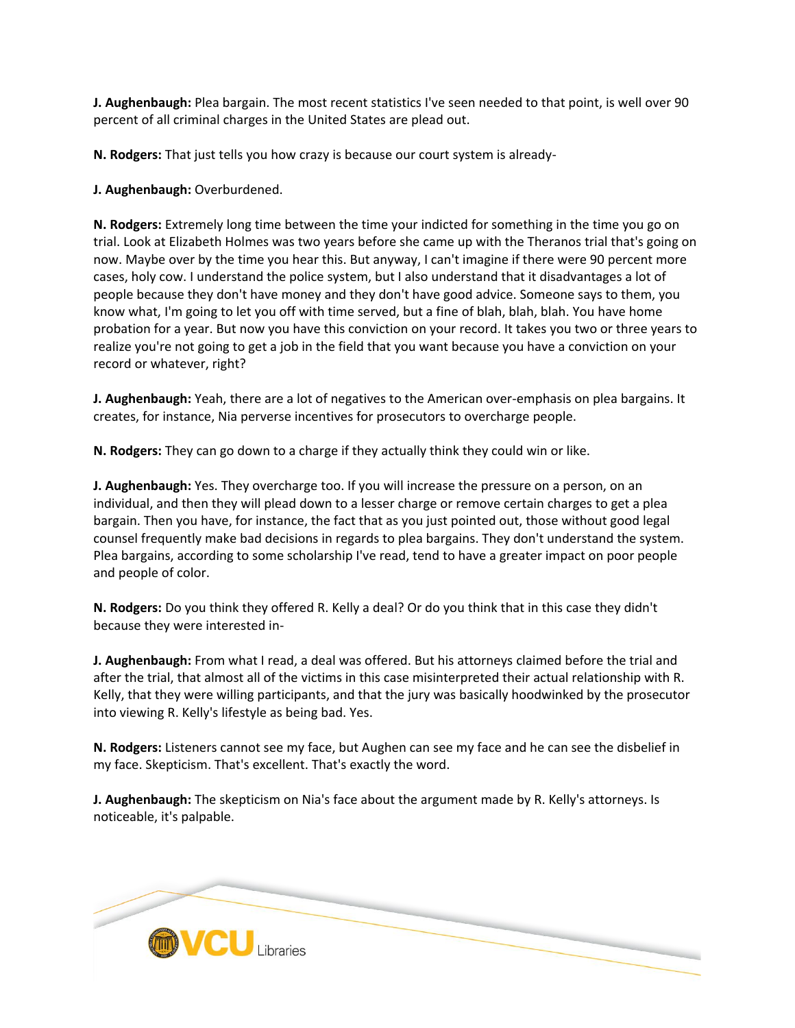**J. Aughenbaugh:** Plea bargain. The most recent statistics I've seen needed to that point, is well over 90 percent of all criminal charges in the United States are plead out.

**N. Rodgers:** That just tells you how crazy is because our court system is already-

**J. Aughenbaugh:** Overburdened.

**N. Rodgers:** Extremely long time between the time your indicted for something in the time you go on trial. Look at Elizabeth Holmes was two years before she came up with the Theranos trial that's going on now. Maybe over by the time you hear this. But anyway, I can't imagine if there were 90 percent more cases, holy cow. I understand the police system, but I also understand that it disadvantages a lot of people because they don't have money and they don't have good advice. Someone says to them, you know what, I'm going to let you off with time served, but a fine of blah, blah, blah. You have home probation for a year. But now you have this conviction on your record. It takes you two or three years to realize you're not going to get a job in the field that you want because you have a conviction on your record or whatever, right?

**J. Aughenbaugh:** Yeah, there are a lot of negatives to the American over-emphasis on plea bargains. It creates, for instance, Nia perverse incentives for prosecutors to overcharge people.

**N. Rodgers:** They can go down to a charge if they actually think they could win or like.

**J. Aughenbaugh:** Yes. They overcharge too. If you will increase the pressure on a person, on an individual, and then they will plead down to a lesser charge or remove certain charges to get a plea bargain. Then you have, for instance, the fact that as you just pointed out, those without good legal counsel frequently make bad decisions in regards to plea bargains. They don't understand the system. Plea bargains, according to some scholarship I've read, tend to have a greater impact on poor people and people of color.

**N. Rodgers:** Do you think they offered R. Kelly a deal? Or do you think that in this case they didn't because they were interested in-

**J. Aughenbaugh:** From what I read, a deal was offered. But his attorneys claimed before the trial and after the trial, that almost all of the victims in this case misinterpreted their actual relationship with R. Kelly, that they were willing participants, and that the jury was basically hoodwinked by the prosecutor into viewing R. Kelly's lifestyle as being bad. Yes.

**N. Rodgers:** Listeners cannot see my face, but Aughen can see my face and he can see the disbelief in my face. Skepticism. That's excellent. That's exactly the word.

**J. Aughenbaugh:** The skepticism on Nia's face about the argument made by R. Kelly's attorneys. Is noticeable, it's palpable.

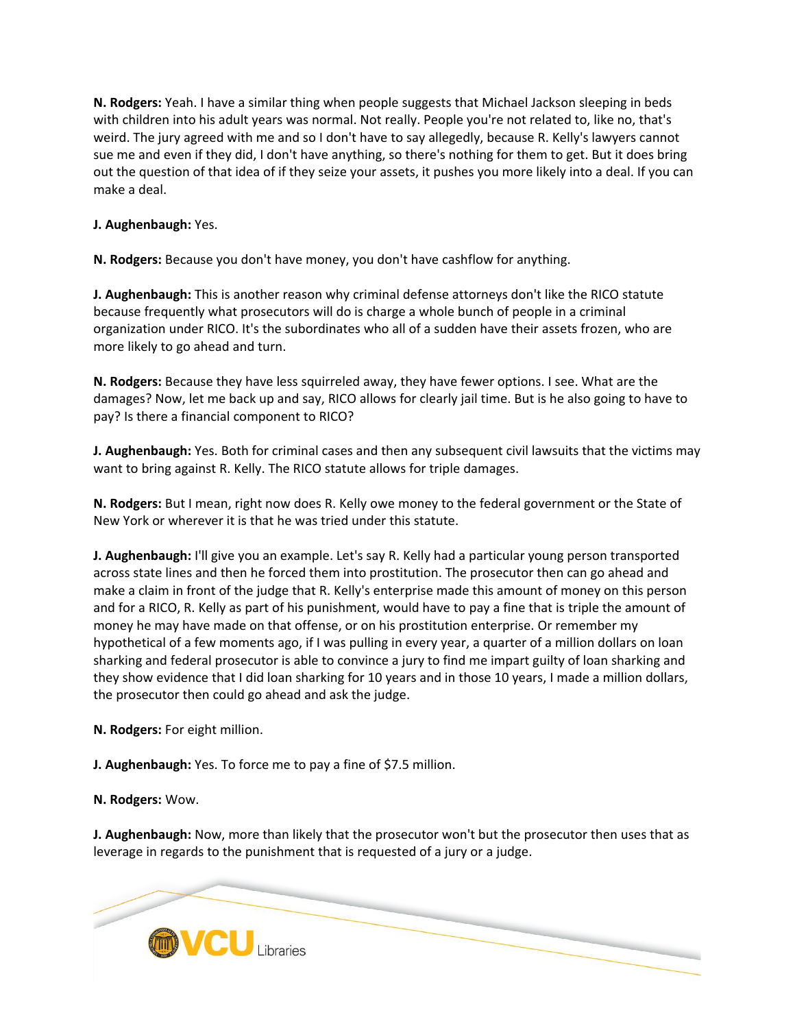**N. Rodgers:** Yeah. I have a similar thing when people suggests that Michael Jackson sleeping in beds with children into his adult years was normal. Not really. People you're not related to, like no, that's weird. The jury agreed with me and so I don't have to say allegedly, because R. Kelly's lawyers cannot sue me and even if they did, I don't have anything, so there's nothing for them to get. But it does bring out the question of that idea of if they seize your assets, it pushes you more likely into a deal. If you can make a deal.

# **J. Aughenbaugh:** Yes.

**N. Rodgers:** Because you don't have money, you don't have cashflow for anything.

**J. Aughenbaugh:** This is another reason why criminal defense attorneys don't like the RICO statute because frequently what prosecutors will do is charge a whole bunch of people in a criminal organization under RICO. It's the subordinates who all of a sudden have their assets frozen, who are more likely to go ahead and turn.

**N. Rodgers:** Because they have less squirreled away, they have fewer options. I see. What are the damages? Now, let me back up and say, RICO allows for clearly jail time. But is he also going to have to pay? Is there a financial component to RICO?

**J. Aughenbaugh:** Yes. Both for criminal cases and then any subsequent civil lawsuits that the victims may want to bring against R. Kelly. The RICO statute allows for triple damages.

**N. Rodgers:** But I mean, right now does R. Kelly owe money to the federal government or the State of New York or wherever it is that he was tried under this statute.

**J. Aughenbaugh:** I'll give you an example. Let's say R. Kelly had a particular young person transported across state lines and then he forced them into prostitution. The prosecutor then can go ahead and make a claim in front of the judge that R. Kelly's enterprise made this amount of money on this person and for a RICO, R. Kelly as part of his punishment, would have to pay a fine that is triple the amount of money he may have made on that offense, or on his prostitution enterprise. Or remember my hypothetical of a few moments ago, if I was pulling in every year, a quarter of a million dollars on loan sharking and federal prosecutor is able to convince a jury to find me impart guilty of loan sharking and they show evidence that I did loan sharking for 10 years and in those 10 years, I made a million dollars, the prosecutor then could go ahead and ask the judge.

**N. Rodgers:** For eight million.

**J. Aughenbaugh:** Yes. To force me to pay a fine of \$7.5 million.

**N. Rodgers:** Wow.

**J. Aughenbaugh:** Now, more than likely that the prosecutor won't but the prosecutor then uses that as leverage in regards to the punishment that is requested of a jury or a judge.

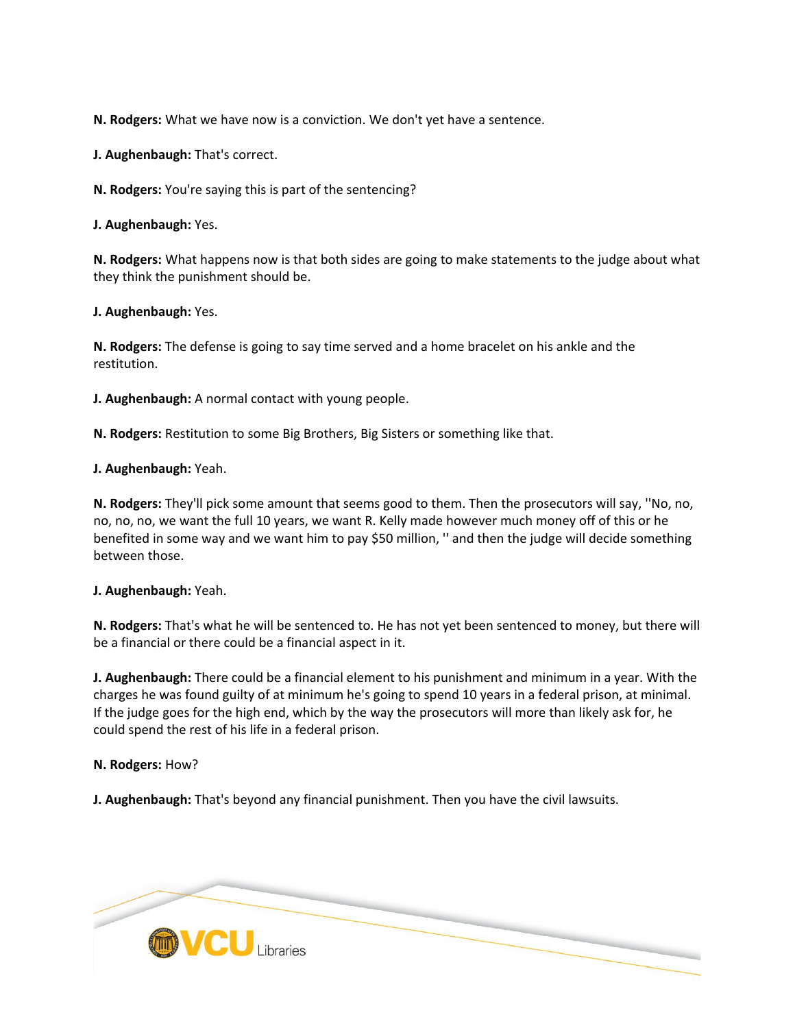**N. Rodgers:** What we have now is a conviction. We don't yet have a sentence.

**J. Aughenbaugh:** That's correct.

**N. Rodgers:** You're saying this is part of the sentencing?

**J. Aughenbaugh:** Yes.

**N. Rodgers:** What happens now is that both sides are going to make statements to the judge about what they think the punishment should be.

**J. Aughenbaugh:** Yes.

**N. Rodgers:** The defense is going to say time served and a home bracelet on his ankle and the restitution.

**J. Aughenbaugh:** A normal contact with young people.

**N. Rodgers:** Restitution to some Big Brothers, Big Sisters or something like that.

**J. Aughenbaugh:** Yeah.

**N. Rodgers:** They'll pick some amount that seems good to them. Then the prosecutors will say, ''No, no, no, no, no, we want the full 10 years, we want R. Kelly made however much money off of this or he benefited in some way and we want him to pay \$50 million, '' and then the judge will decide something between those.

**J. Aughenbaugh:** Yeah.

**N. Rodgers:** That's what he will be sentenced to. He has not yet been sentenced to money, but there will be a financial or there could be a financial aspect in it.

**J. Aughenbaugh:** There could be a financial element to his punishment and minimum in a year. With the charges he was found guilty of at minimum he's going to spend 10 years in a federal prison, at minimal. If the judge goes for the high end, which by the way the prosecutors will more than likely ask for, he could spend the rest of his life in a federal prison.

**N. Rodgers:** How?

**J. Aughenbaugh:** That's beyond any financial punishment. Then you have the civil lawsuits.

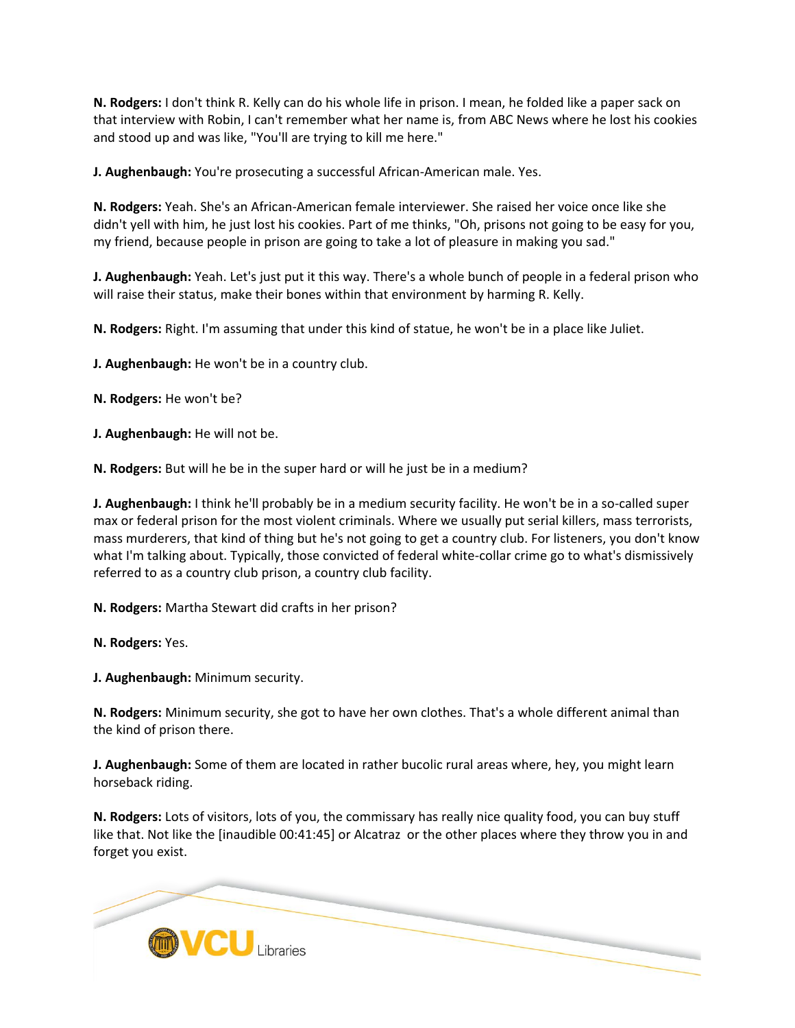**N. Rodgers:** I don't think R. Kelly can do his whole life in prison. I mean, he folded like a paper sack on that interview with Robin, I can't remember what her name is, from ABC News where he lost his cookies and stood up and was like, "You'll are trying to kill me here."

**J. Aughenbaugh:** You're prosecuting a successful African-American male. Yes.

**N. Rodgers:** Yeah. She's an African-American female interviewer. She raised her voice once like she didn't yell with him, he just lost his cookies. Part of me thinks, "Oh, prisons not going to be easy for you, my friend, because people in prison are going to take a lot of pleasure in making you sad."

**J. Aughenbaugh:** Yeah. Let's just put it this way. There's a whole bunch of people in a federal prison who will raise their status, make their bones within that environment by harming R. Kelly.

**N. Rodgers:** Right. I'm assuming that under this kind of statue, he won't be in a place like Juliet.

**J. Aughenbaugh:** He won't be in a country club.

**N. Rodgers:** He won't be?

**J. Aughenbaugh:** He will not be.

**N. Rodgers:** But will he be in the super hard or will he just be in a medium?

**J. Aughenbaugh:** I think he'll probably be in a medium security facility. He won't be in a so-called super max or federal prison for the most violent criminals. Where we usually put serial killers, mass terrorists, mass murderers, that kind of thing but he's not going to get a country club. For listeners, you don't know what I'm talking about. Typically, those convicted of federal white-collar crime go to what's dismissively referred to as a country club prison, a country club facility.

**N. Rodgers:** Martha Stewart did crafts in her prison?

**N. Rodgers:** Yes.

**J. Aughenbaugh:** Minimum security.

**N. Rodgers:** Minimum security, she got to have her own clothes. That's a whole different animal than the kind of prison there.

**J. Aughenbaugh:** Some of them are located in rather bucolic rural areas where, hey, you might learn horseback riding.

**N. Rodgers:** Lots of visitors, lots of you, the commissary has really nice quality food, you can buy stuff like that. Not like the [inaudible 00:41:45] or Alcatraz or the other places where they throw you in and forget you exist.

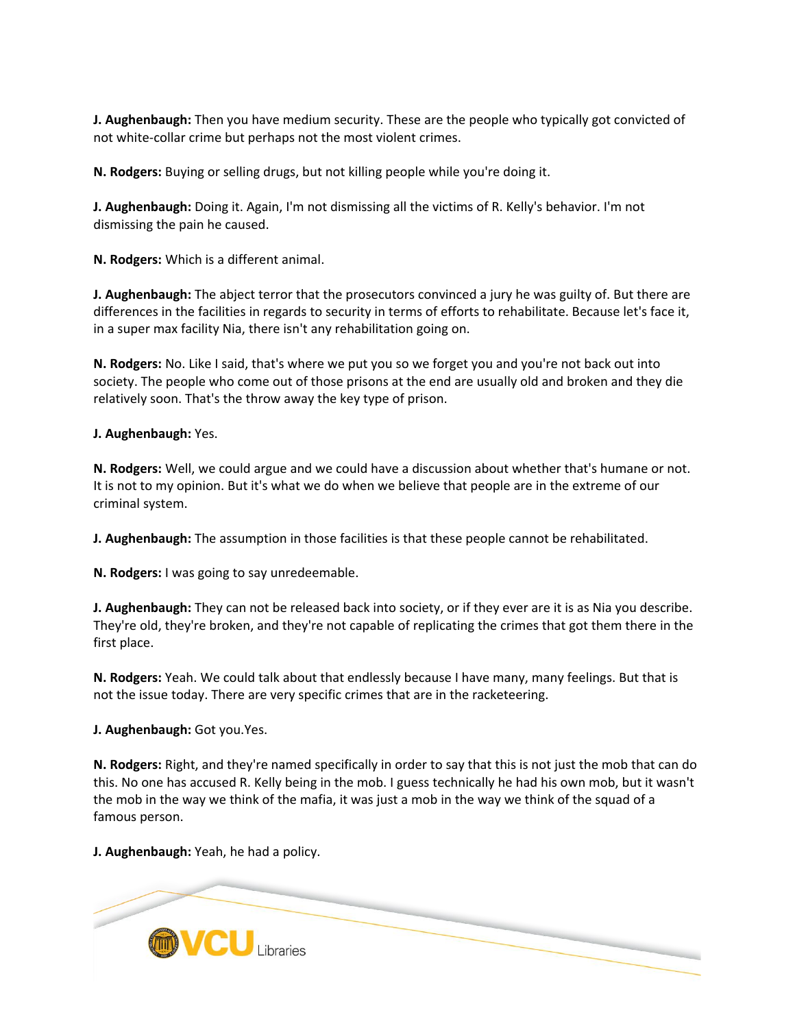**J. Aughenbaugh:** Then you have medium security. These are the people who typically got convicted of not white-collar crime but perhaps not the most violent crimes.

**N. Rodgers:** Buying or selling drugs, but not killing people while you're doing it.

**J. Aughenbaugh:** Doing it. Again, I'm not dismissing all the victims of R. Kelly's behavior. I'm not dismissing the pain he caused.

**N. Rodgers:** Which is a different animal.

**J. Aughenbaugh:** The abject terror that the prosecutors convinced a jury he was guilty of. But there are differences in the facilities in regards to security in terms of efforts to rehabilitate. Because let's face it, in a super max facility Nia, there isn't any rehabilitation going on.

**N. Rodgers:** No. Like I said, that's where we put you so we forget you and you're not back out into society. The people who come out of those prisons at the end are usually old and broken and they die relatively soon. That's the throw away the key type of prison.

**J. Aughenbaugh:** Yes.

**N. Rodgers:** Well, we could argue and we could have a discussion about whether that's humane or not. It is not to my opinion. But it's what we do when we believe that people are in the extreme of our criminal system.

**J. Aughenbaugh:** The assumption in those facilities is that these people cannot be rehabilitated.

**N. Rodgers:** I was going to say unredeemable.

**J. Aughenbaugh:** They can not be released back into society, or if they ever are it is as Nia you describe. They're old, they're broken, and they're not capable of replicating the crimes that got them there in the first place.

**N. Rodgers:** Yeah. We could talk about that endlessly because I have many, many feelings. But that is not the issue today. There are very specific crimes that are in the racketeering.

**J. Aughenbaugh:** Got you.Yes.

**N. Rodgers:** Right, and they're named specifically in order to say that this is not just the mob that can do this. No one has accused R. Kelly being in the mob. I guess technically he had his own mob, but it wasn't the mob in the way we think of the mafia, it was just a mob in the way we think of the squad of a famous person.

**J. Aughenbaugh:** Yeah, he had a policy.

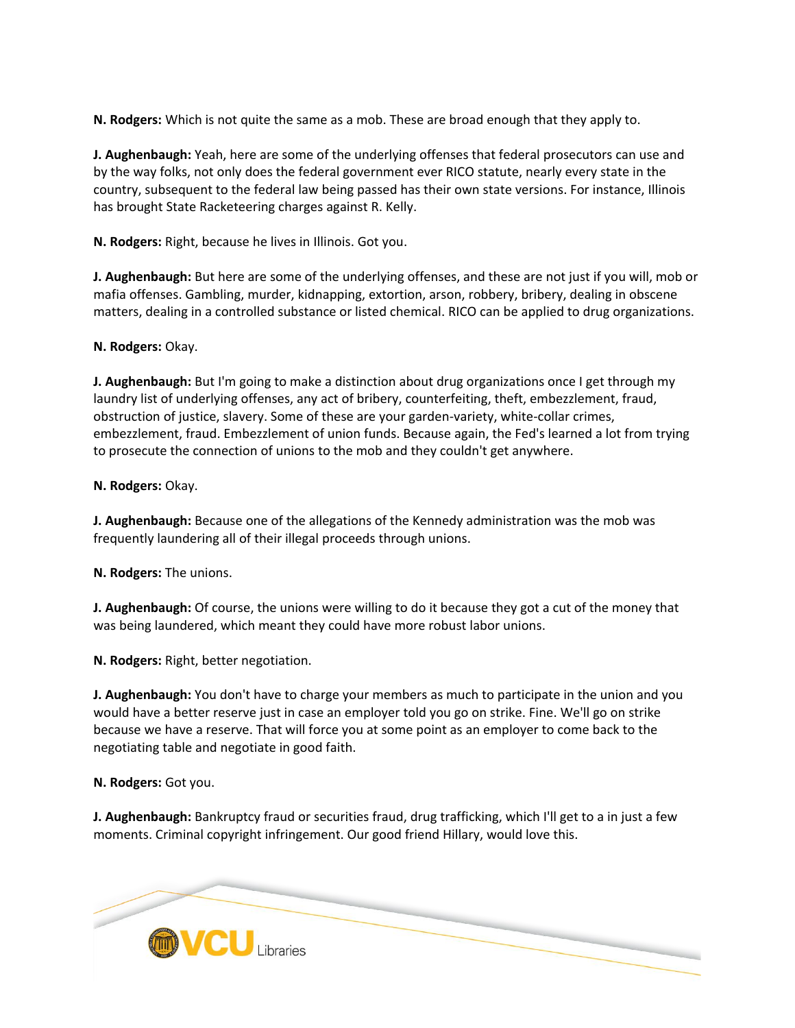**N. Rodgers:** Which is not quite the same as a mob. These are broad enough that they apply to.

**J. Aughenbaugh:** Yeah, here are some of the underlying offenses that federal prosecutors can use and by the way folks, not only does the federal government ever RICO statute, nearly every state in the country, subsequent to the federal law being passed has their own state versions. For instance, Illinois has brought State Racketeering charges against R. Kelly.

**N. Rodgers:** Right, because he lives in Illinois. Got you.

**J. Aughenbaugh:** But here are some of the underlying offenses, and these are not just if you will, mob or mafia offenses. Gambling, murder, kidnapping, extortion, arson, robbery, bribery, dealing in obscene matters, dealing in a controlled substance or listed chemical. RICO can be applied to drug organizations.

**N. Rodgers:** Okay.

**J. Aughenbaugh:** But I'm going to make a distinction about drug organizations once I get through my laundry list of underlying offenses, any act of bribery, counterfeiting, theft, embezzlement, fraud, obstruction of justice, slavery. Some of these are your garden-variety, white-collar crimes, embezzlement, fraud. Embezzlement of union funds. Because again, the Fed's learned a lot from trying to prosecute the connection of unions to the mob and they couldn't get anywhere.

**N. Rodgers:** Okay.

**J. Aughenbaugh:** Because one of the allegations of the Kennedy administration was the mob was frequently laundering all of their illegal proceeds through unions.

**N. Rodgers:** The unions.

**J. Aughenbaugh:** Of course, the unions were willing to do it because they got a cut of the money that was being laundered, which meant they could have more robust labor unions.

**N. Rodgers:** Right, better negotiation.

**J. Aughenbaugh:** You don't have to charge your members as much to participate in the union and you would have a better reserve just in case an employer told you go on strike. Fine. We'll go on strike because we have a reserve. That will force you at some point as an employer to come back to the negotiating table and negotiate in good faith.

**N. Rodgers:** Got you.

**J. Aughenbaugh:** Bankruptcy fraud or securities fraud, drug trafficking, which I'll get to a in just a few moments. Criminal copyright infringement. Our good friend Hillary, would love this.

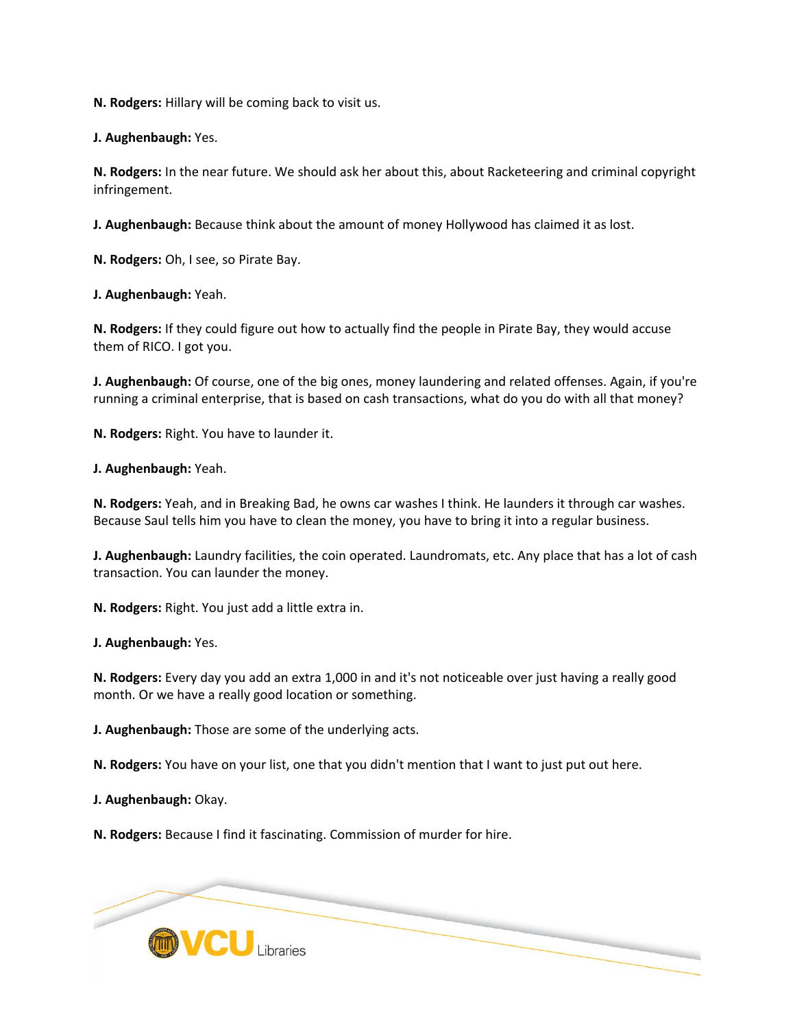**N. Rodgers:** Hillary will be coming back to visit us.

**J. Aughenbaugh:** Yes.

**N. Rodgers:** In the near future. We should ask her about this, about Racketeering and criminal copyright infringement.

**J. Aughenbaugh:** Because think about the amount of money Hollywood has claimed it as lost.

**N. Rodgers:** Oh, I see, so Pirate Bay.

**J. Aughenbaugh:** Yeah.

**N. Rodgers:** If they could figure out how to actually find the people in Pirate Bay, they would accuse them of RICO. I got you.

**J. Aughenbaugh:** Of course, one of the big ones, money laundering and related offenses. Again, if you're running a criminal enterprise, that is based on cash transactions, what do you do with all that money?

**N. Rodgers:** Right. You have to launder it.

**J. Aughenbaugh:** Yeah.

**N. Rodgers:** Yeah, and in Breaking Bad, he owns car washes I think. He launders it through car washes. Because Saul tells him you have to clean the money, you have to bring it into a regular business.

**J. Aughenbaugh:** Laundry facilities, the coin operated. Laundromats, etc. Any place that has a lot of cash transaction. You can launder the money.

**N. Rodgers:** Right. You just add a little extra in.

**J. Aughenbaugh:** Yes.

**N. Rodgers:** Every day you add an extra 1,000 in and it's not noticeable over just having a really good month. Or we have a really good location or something.

**J. Aughenbaugh:** Those are some of the underlying acts.

**N. Rodgers:** You have on your list, one that you didn't mention that I want to just put out here.

**J. Aughenbaugh:** Okay.

**N. Rodgers:** Because I find it fascinating. Commission of murder for hire.

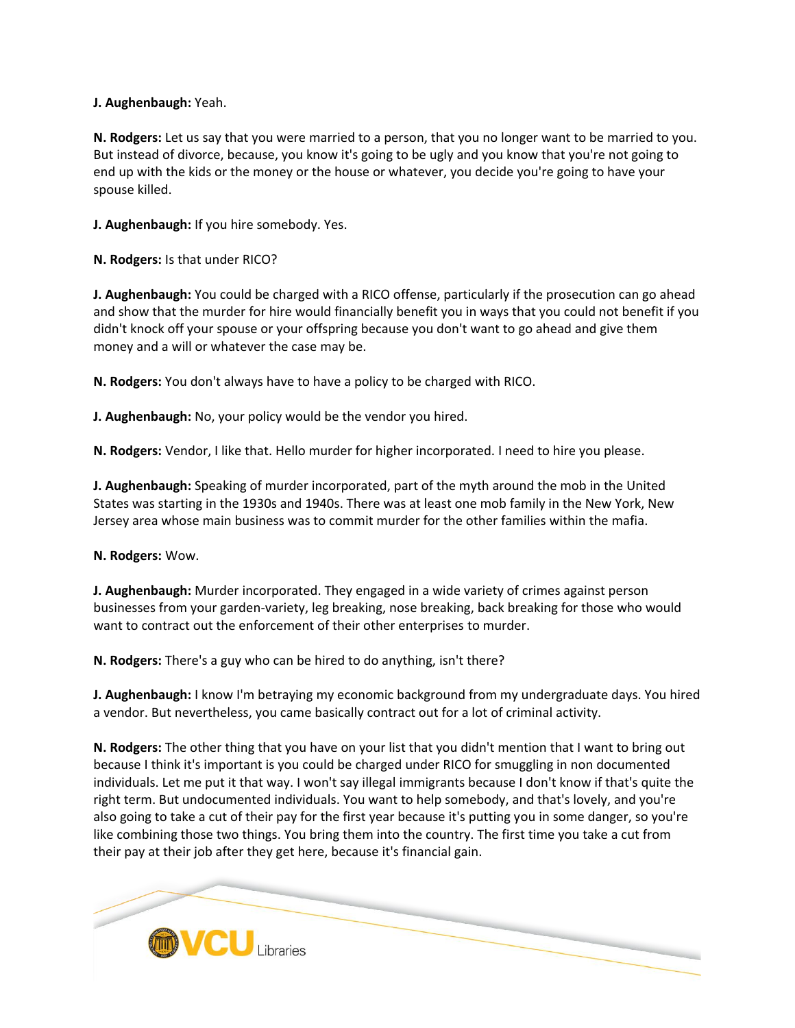## **J. Aughenbaugh:** Yeah.

**N. Rodgers:** Let us say that you were married to a person, that you no longer want to be married to you. But instead of divorce, because, you know it's going to be ugly and you know that you're not going to end up with the kids or the money or the house or whatever, you decide you're going to have your spouse killed.

**J. Aughenbaugh:** If you hire somebody. Yes.

**N. Rodgers:** Is that under RICO?

**J. Aughenbaugh:** You could be charged with a RICO offense, particularly if the prosecution can go ahead and show that the murder for hire would financially benefit you in ways that you could not benefit if you didn't knock off your spouse or your offspring because you don't want to go ahead and give them money and a will or whatever the case may be.

**N. Rodgers:** You don't always have to have a policy to be charged with RICO.

**J. Aughenbaugh:** No, your policy would be the vendor you hired.

**N. Rodgers:** Vendor, I like that. Hello murder for higher incorporated. I need to hire you please.

**J. Aughenbaugh:** Speaking of murder incorporated, part of the myth around the mob in the United States was starting in the 1930s and 1940s. There was at least one mob family in the New York, New Jersey area whose main business was to commit murder for the other families within the mafia.

### **N. Rodgers:** Wow.

**J. Aughenbaugh:** Murder incorporated. They engaged in a wide variety of crimes against person businesses from your garden-variety, leg breaking, nose breaking, back breaking for those who would want to contract out the enforcement of their other enterprises to murder.

**N. Rodgers:** There's a guy who can be hired to do anything, isn't there?

**J. Aughenbaugh:** I know I'm betraying my economic background from my undergraduate days. You hired a vendor. But nevertheless, you came basically contract out for a lot of criminal activity.

**N. Rodgers:** The other thing that you have on your list that you didn't mention that I want to bring out because I think it's important is you could be charged under RICO for smuggling in non documented individuals. Let me put it that way. I won't say illegal immigrants because I don't know if that's quite the right term. But undocumented individuals. You want to help somebody, and that's lovely, and you're also going to take a cut of their pay for the first year because it's putting you in some danger, so you're like combining those two things. You bring them into the country. The first time you take a cut from their pay at their job after they get here, because it's financial gain.

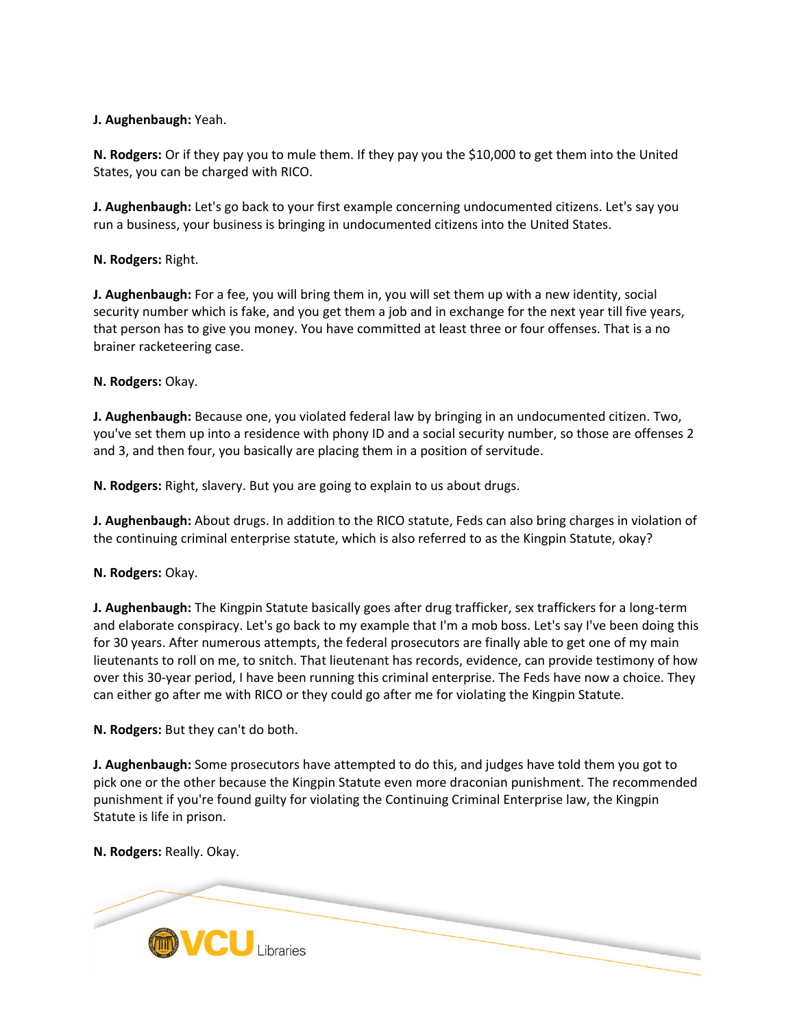# **J. Aughenbaugh:** Yeah.

**N. Rodgers:** Or if they pay you to mule them. If they pay you the \$10,000 to get them into the United States, you can be charged with RICO.

**J. Aughenbaugh:** Let's go back to your first example concerning undocumented citizens. Let's say you run a business, your business is bringing in undocumented citizens into the United States.

# **N. Rodgers:** Right.

**J. Aughenbaugh:** For a fee, you will bring them in, you will set them up with a new identity, social security number which is fake, and you get them a job and in exchange for the next year till five years, that person has to give you money. You have committed at least three or four offenses. That is a no brainer racketeering case.

# **N. Rodgers:** Okay.

**J. Aughenbaugh:** Because one, you violated federal law by bringing in an undocumented citizen. Two, you've set them up into a residence with phony ID and a social security number, so those are offenses 2 and 3, and then four, you basically are placing them in a position of servitude.

**N. Rodgers:** Right, slavery. But you are going to explain to us about drugs.

**J. Aughenbaugh:** About drugs. In addition to the RICO statute, Feds can also bring charges in violation of the continuing criminal enterprise statute, which is also referred to as the Kingpin Statute, okay?

### **N. Rodgers:** Okay.

**J. Aughenbaugh:** The Kingpin Statute basically goes after drug trafficker, sex traffickers for a long-term and elaborate conspiracy. Let's go back to my example that I'm a mob boss. Let's say I've been doing this for 30 years. After numerous attempts, the federal prosecutors are finally able to get one of my main lieutenants to roll on me, to snitch. That lieutenant has records, evidence, can provide testimony of how over this 30-year period, I have been running this criminal enterprise. The Feds have now a choice. They can either go after me with RICO or they could go after me for violating the Kingpin Statute.

### **N. Rodgers:** But they can't do both.

**J. Aughenbaugh:** Some prosecutors have attempted to do this, and judges have told them you got to pick one or the other because the Kingpin Statute even more draconian punishment. The recommended punishment if you're found guilty for violating the Continuing Criminal Enterprise law, the Kingpin Statute is life in prison.

### **N. Rodgers:** Really. Okay.

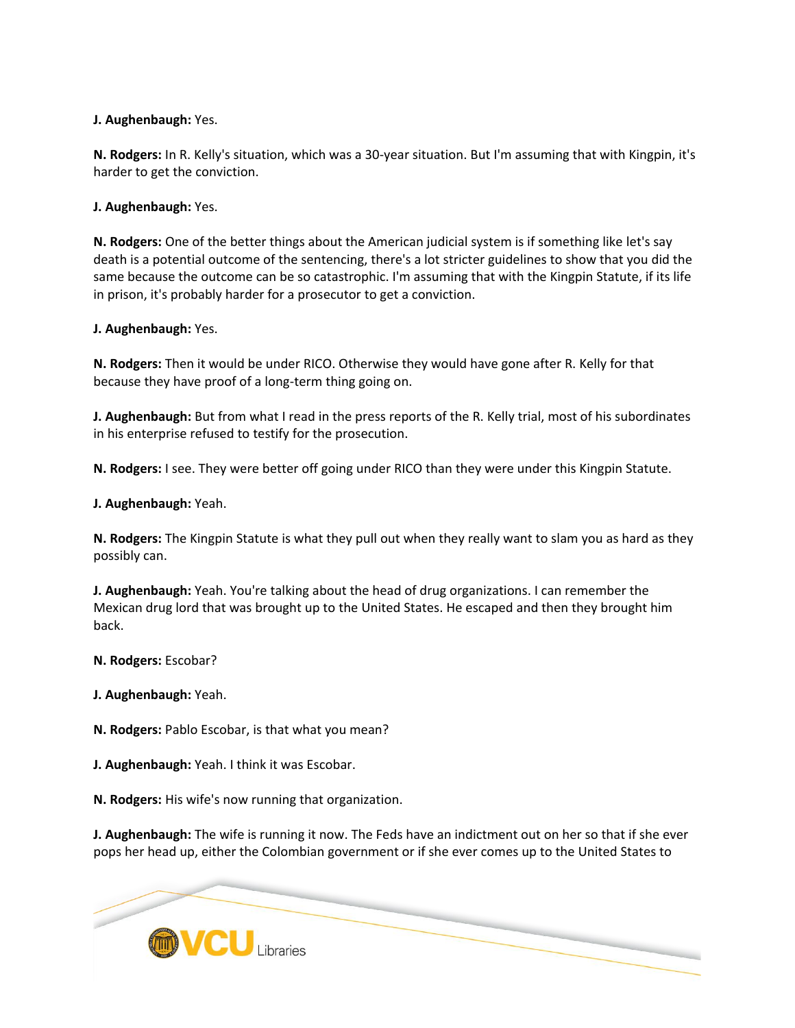# **J. Aughenbaugh:** Yes.

**N. Rodgers:** In R. Kelly's situation, which was a 30-year situation. But I'm assuming that with Kingpin, it's harder to get the conviction.

**J. Aughenbaugh:** Yes.

**N. Rodgers:** One of the better things about the American judicial system is if something like let's say death is a potential outcome of the sentencing, there's a lot stricter guidelines to show that you did the same because the outcome can be so catastrophic. I'm assuming that with the Kingpin Statute, if its life in prison, it's probably harder for a prosecutor to get a conviction.

### **J. Aughenbaugh:** Yes.

**N. Rodgers:** Then it would be under RICO. Otherwise they would have gone after R. Kelly for that because they have proof of a long-term thing going on.

**J. Aughenbaugh:** But from what I read in the press reports of the R. Kelly trial, most of his subordinates in his enterprise refused to testify for the prosecution.

**N. Rodgers:** I see. They were better off going under RICO than they were under this Kingpin Statute.

**J. Aughenbaugh:** Yeah.

**N. Rodgers:** The Kingpin Statute is what they pull out when they really want to slam you as hard as they possibly can.

**J. Aughenbaugh:** Yeah. You're talking about the head of drug organizations. I can remember the Mexican drug lord that was brought up to the United States. He escaped and then they brought him back.

**N. Rodgers:** Escobar?

**J. Aughenbaugh:** Yeah.

**N. Rodgers:** Pablo Escobar, is that what you mean?

**J. Aughenbaugh:** Yeah. I think it was Escobar.

**N. Rodgers:** His wife's now running that organization.

**J. Aughenbaugh:** The wife is running it now. The Feds have an indictment out on her so that if she ever pops her head up, either the Colombian government or if she ever comes up to the United States to

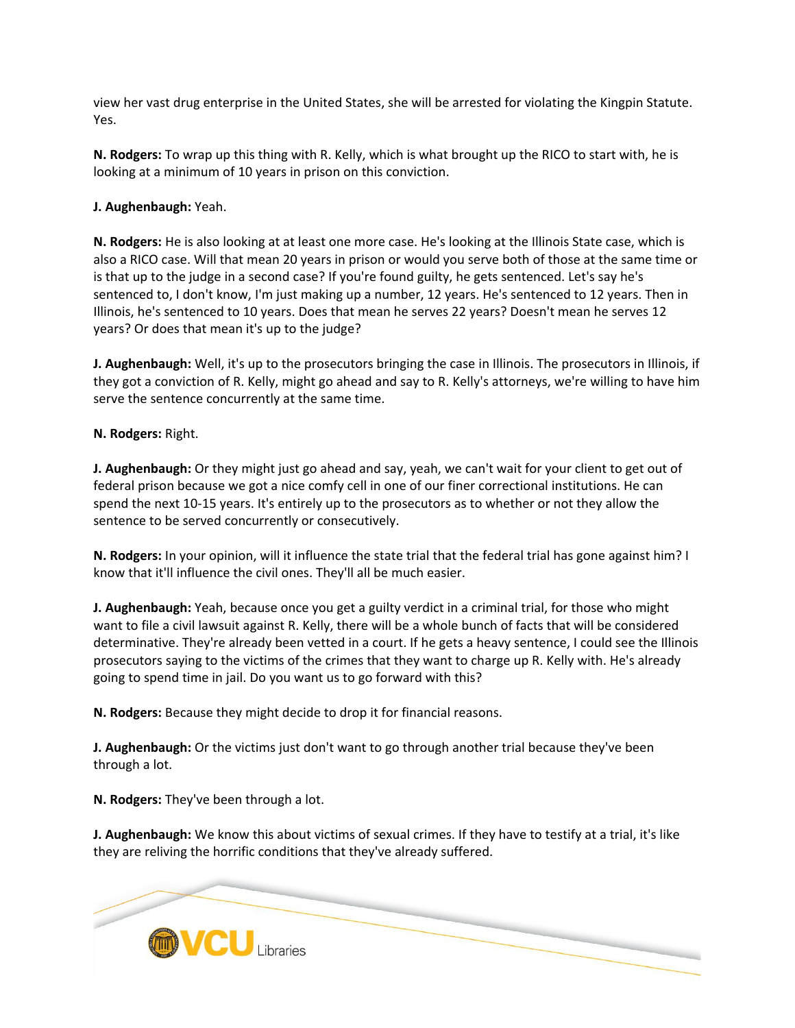view her vast drug enterprise in the United States, she will be arrested for violating the Kingpin Statute. Yes.

**N. Rodgers:** To wrap up this thing with R. Kelly, which is what brought up the RICO to start with, he is looking at a minimum of 10 years in prison on this conviction.

**J. Aughenbaugh:** Yeah.

**N. Rodgers:** He is also looking at at least one more case. He's looking at the Illinois State case, which is also a RICO case. Will that mean 20 years in prison or would you serve both of those at the same time or is that up to the judge in a second case? If you're found guilty, he gets sentenced. Let's say he's sentenced to, I don't know, I'm just making up a number, 12 years. He's sentenced to 12 years. Then in Illinois, he's sentenced to 10 years. Does that mean he serves 22 years? Doesn't mean he serves 12 years? Or does that mean it's up to the judge?

**J. Aughenbaugh:** Well, it's up to the prosecutors bringing the case in Illinois. The prosecutors in Illinois, if they got a conviction of R. Kelly, might go ahead and say to R. Kelly's attorneys, we're willing to have him serve the sentence concurrently at the same time.

**N. Rodgers:** Right.

**J. Aughenbaugh:** Or they might just go ahead and say, yeah, we can't wait for your client to get out of federal prison because we got a nice comfy cell in one of our finer correctional institutions. He can spend the next 10-15 years. It's entirely up to the prosecutors as to whether or not they allow the sentence to be served concurrently or consecutively.

**N. Rodgers:** In your opinion, will it influence the state trial that the federal trial has gone against him? I know that it'll influence the civil ones. They'll all be much easier.

**J. Aughenbaugh:** Yeah, because once you get a guilty verdict in a criminal trial, for those who might want to file a civil lawsuit against R. Kelly, there will be a whole bunch of facts that will be considered determinative. They're already been vetted in a court. If he gets a heavy sentence, I could see the Illinois prosecutors saying to the victims of the crimes that they want to charge up R. Kelly with. He's already going to spend time in jail. Do you want us to go forward with this?

**N. Rodgers:** Because they might decide to drop it for financial reasons.

**J. Aughenbaugh:** Or the victims just don't want to go through another trial because they've been through a lot.

**N. Rodgers:** They've been through a lot.

**J. Aughenbaugh:** We know this about victims of sexual crimes. If they have to testify at a trial, it's like they are reliving the horrific conditions that they've already suffered.

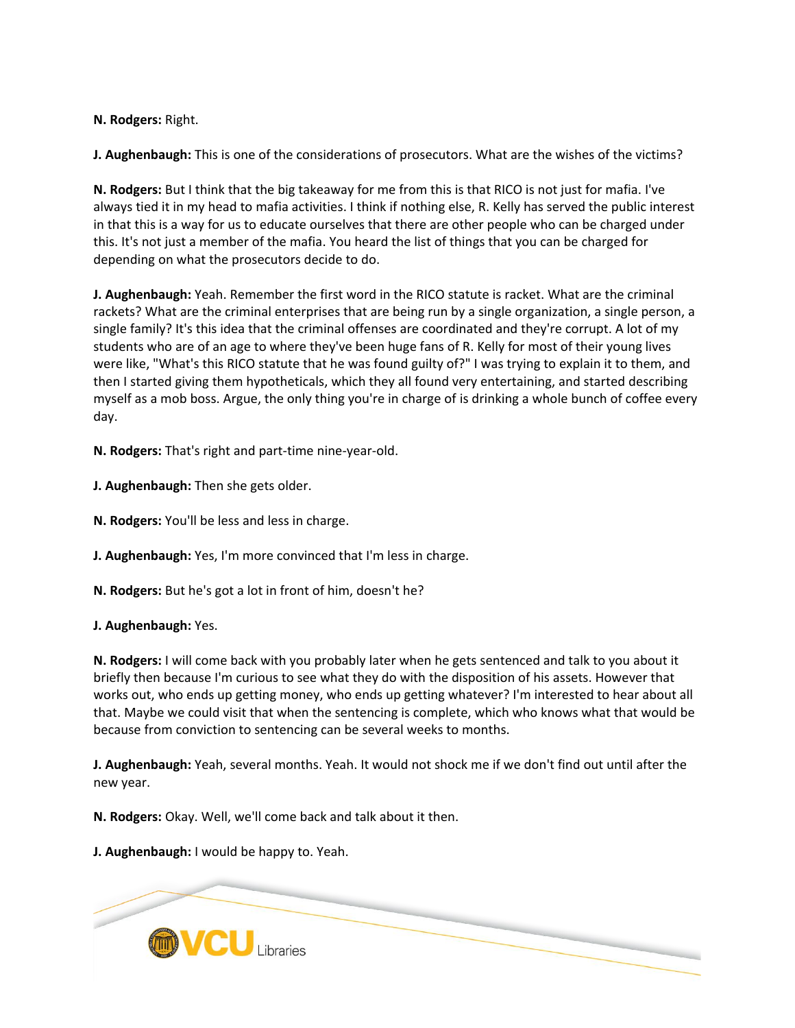**N. Rodgers:** Right.

**J. Aughenbaugh:** This is one of the considerations of prosecutors. What are the wishes of the victims?

**N. Rodgers:** But I think that the big takeaway for me from this is that RICO is not just for mafia. I've always tied it in my head to mafia activities. I think if nothing else, R. Kelly has served the public interest in that this is a way for us to educate ourselves that there are other people who can be charged under this. It's not just a member of the mafia. You heard the list of things that you can be charged for depending on what the prosecutors decide to do.

**J. Aughenbaugh:** Yeah. Remember the first word in the RICO statute is racket. What are the criminal rackets? What are the criminal enterprises that are being run by a single organization, a single person, a single family? It's this idea that the criminal offenses are coordinated and they're corrupt. A lot of my students who are of an age to where they've been huge fans of R. Kelly for most of their young lives were like, "What's this RICO statute that he was found guilty of?" I was trying to explain it to them, and then I started giving them hypotheticals, which they all found very entertaining, and started describing myself as a mob boss. Argue, the only thing you're in charge of is drinking a whole bunch of coffee every day.

**N. Rodgers:** That's right and part-time nine-year-old.

**J. Aughenbaugh:** Then she gets older.

**N. Rodgers:** You'll be less and less in charge.

**J. Aughenbaugh:** Yes, I'm more convinced that I'm less in charge.

**N. Rodgers:** But he's got a lot in front of him, doesn't he?

**J. Aughenbaugh:** Yes.

**N. Rodgers:** I will come back with you probably later when he gets sentenced and talk to you about it briefly then because I'm curious to see what they do with the disposition of his assets. However that works out, who ends up getting money, who ends up getting whatever? I'm interested to hear about all that. Maybe we could visit that when the sentencing is complete, which who knows what that would be because from conviction to sentencing can be several weeks to months.

**J. Aughenbaugh:** Yeah, several months. Yeah. It would not shock me if we don't find out until after the new year.

**N. Rodgers:** Okay. Well, we'll come back and talk about it then.

**J. Aughenbaugh:** I would be happy to. Yeah.